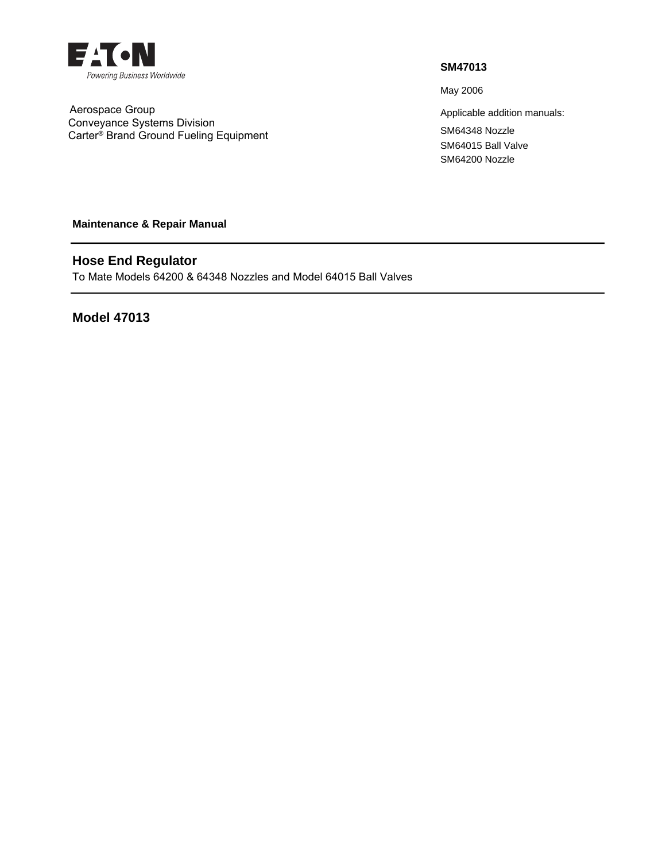

 Aerospace Group Conveyance Systems Division Carter® Brand Ground Fueling Equipment

## **SM47013**

May 2006

Applicable addition manuals: SM64348 Nozzle SM64015 Ball Valve SM64200 Nozzle

**Maintenance & Repair Manual** 

# **Hose End Regulator**

To Mate Models 64200 & 64348 Nozzles and Model 64015 Ball Valves

**Model 47013**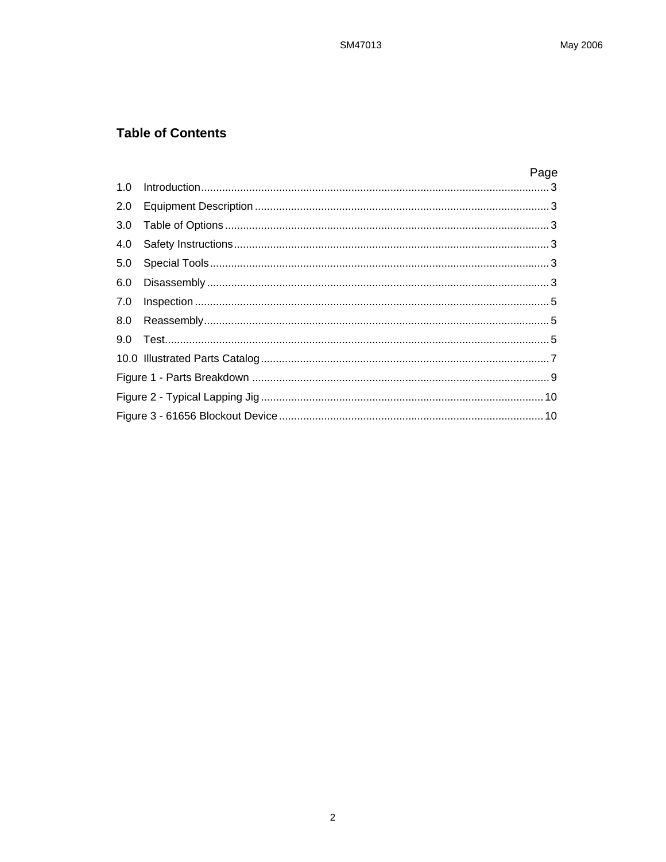## **Table of Contents**

|     | Page |
|-----|------|
|     |      |
|     |      |
| 3.0 |      |
| 4.0 |      |
| 5.0 |      |
|     |      |
| 7.0 |      |
|     |      |
|     |      |
|     |      |
|     |      |
|     |      |
|     |      |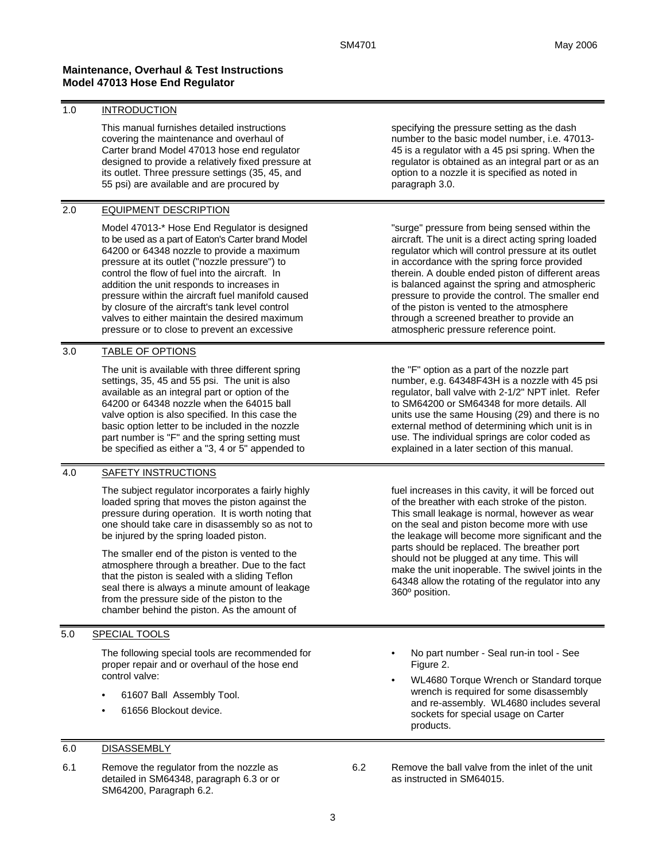## **Maintenance, Overhaul & Test Instructions Model 47013 Hose End Regulator**

### 1.0 INTRODUCTION

This manual furnishes detailed instructions covering the maintenance and overhaul of Carter brand Model 47013 hose end regulator designed to provide a relatively fixed pressure at its outlet. Three pressure settings (35, 45, and 55 psi) are available and are procured by

### 2.0 EQUIPMENT DESCRIPTION

Model 47013-\* Hose End Regulator is designed to be used as a part of Eaton's Carter brand Model 64200 or 64348 nozzle to provide a maximum pressure at its outlet ("nozzle pressure") to control the flow of fuel into the aircraft. In addition the unit responds to increases in pressure within the aircraft fuel manifold caused by closure of the aircraft's tank level control valves to either maintain the desired maximum pressure or to close to prevent an excessive

## 3.0 TABLE OF OPTIONS

The unit is available with three different spring settings, 35, 45 and 55 psi. The unit is also available as an integral part or option of the 64200 or 64348 nozzle when the 64015 ball valve option is also specified. In this case the basic option letter to be included in the nozzle part number is "F" and the spring setting must be specified as either a "3, 4 or 5" appended to

## 4.0 SAFETY INSTRUCTIONS

The subject regulator incorporates a fairly highly loaded spring that moves the piston against the pressure during operation. It is worth noting that one should take care in disassembly so as not to be injured by the spring loaded piston.

The smaller end of the piston is vented to the atmosphere through a breather. Due to the fact that the piston is sealed with a sliding Teflon seal there is always a minute amount of leakage from the pressure side of the piston to the chamber behind the piston. As the amount of

## 5.0 SPECIAL TOOLS

The following special tools are recommended for proper repair and or overhaul of the hose end control valve:

- 61607 Ball Assembly Tool.
- 61656 Blockout device.

#### 6.0 DISASSEMBLY

6.1 Remove the regulator from the nozzle as detailed in SM64348, paragraph 6.3 or or SM64200, Paragraph 6.2.

specifying the pressure setting as the dash number to the basic model number, i.e. 47013- 45 is a regulator with a 45 psi spring. When the regulator is obtained as an integral part or as an option to a nozzle it is specified as noted in paragraph 3.0.

"surge" pressure from being sensed within the aircraft. The unit is a direct acting spring loaded regulator which will control pressure at its outlet in accordance with the spring force provided therein. A double ended piston of different areas is balanced against the spring and atmospheric pressure to provide the control. The smaller end of the piston is vented to the atmosphere through a screened breather to provide an atmospheric pressure reference point.

the "F" option as a part of the nozzle part number, e.g. 64348F43H is a nozzle with 45 psi regulator, ball valve with 2-1/2" NPT inlet. Refer to SM64200 or SM64348 for more details. All units use the same Housing (29) and there is no external method of determining which unit is in use. The individual springs are color coded as explained in a later section of this manual.

fuel increases in this cavity, it will be forced out of the breather with each stroke of the piston. This small leakage is normal, however as wear on the seal and piston become more with use the leakage will become more significant and the parts should be replaced. The breather port should not be plugged at any time. This will make the unit inoperable. The swivel joints in the 64348 allow the rotating of the regulator into any 360º position.

- No part number Seal run-in tool See Figure 2.
- WL4680 Torque Wrench or Standard torque wrench is required for some disassembly and re-assembly. WL4680 includes several sockets for special usage on Carter products.

6.2 Remove the ball valve from the inlet of the unit as instructed in SM64015.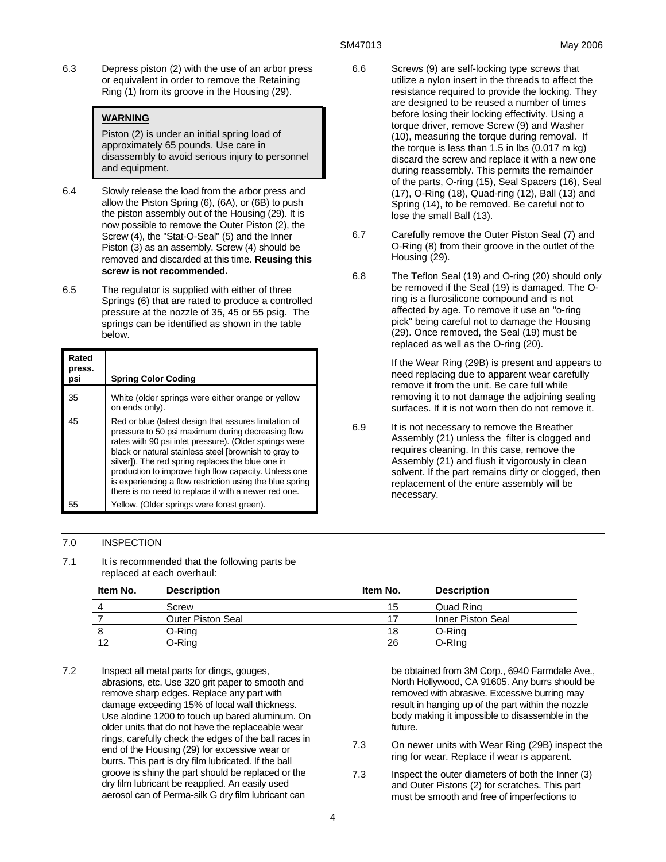6.3 Depress piston (2) with the use of an arbor press or equivalent in order to remove the Retaining Ring (1) from its groove in the Housing (29).

## **WARNING**

Piston (2) is under an initial spring load of approximately 65 pounds. Use care in disassembly to avoid serious injury to personnel and equipment.

- 6.4 Slowly release the load from the arbor press and allow the Piston Spring (6), (6A), or (6B) to push the piston assembly out of the Housing (29). It is now possible to remove the Outer Piston (2), the Screw (4), the "Stat-O-Seal" (5) and the Inner Piston (3) as an assembly. Screw (4) should be removed and discarded at this time. **Reusing this screw is not recommended.**
- 6.5 The regulator is supplied with either of three Springs (6) that are rated to produce a controlled pressure at the nozzle of 35, 45 or 55 psig. The springs can be identified as shown in the table below.

| Rated<br>press.<br>psi | <b>Spring Color Coding</b>                                                                                                                                                                                                                                                                                                                                                                                                                                     |
|------------------------|----------------------------------------------------------------------------------------------------------------------------------------------------------------------------------------------------------------------------------------------------------------------------------------------------------------------------------------------------------------------------------------------------------------------------------------------------------------|
| 35                     | White (older springs were either orange or yellow<br>on ends only).                                                                                                                                                                                                                                                                                                                                                                                            |
| 45                     | Red or blue (latest design that assures limitation of<br>pressure to 50 psi maximum during decreasing flow<br>rates with 90 psi inlet pressure). (Older springs were<br>black or natural stainless steel [brownish to gray to<br>silver]). The red spring replaces the blue one in<br>production to improve high flow capacity. Unless one<br>is experiencing a flow restriction using the blue spring<br>there is no need to replace it with a newer red one. |
| 55                     | Yellow. (Older springs were forest green).                                                                                                                                                                                                                                                                                                                                                                                                                     |

- 6.6 Screws (9) are self-locking type screws that utilize a nylon insert in the threads to affect the resistance required to provide the locking. They are designed to be reused a number of times before losing their locking effectivity. Using a torque driver, remove Screw (9) and Washer (10), measuring the torque during removal. If the torque is less than 1.5 in lbs (0.017 m kg) discard the screw and replace it with a new one during reassembly. This permits the remainder of the parts, O-ring (15), Seal Spacers (16), Seal (17), O-Ring (18), Quad-ring (12), Ball (13) and Spring (14), to be removed. Be careful not to lose the small Ball (13).
- 6.7 Carefully remove the Outer Piston Seal (7) and O-Ring (8) from their groove in the outlet of the Housing (29).
- 6.8 The Teflon Seal (19) and O-ring (20) should only be removed if the Seal (19) is damaged. The Oring is a flurosilicone compound and is not affected by age. To remove it use an "o-ring pick" being careful not to damage the Housing (29). Once removed, the Seal (19) must be replaced as well as the O-ring (20).

If the Wear Ring (29B) is present and appears to need replacing due to apparent wear carefully remove it from the unit. Be care full while removing it to not damage the adjoining sealing surfaces. If it is not worn then do not remove it.

6.9 It is not necessary to remove the Breather Assembly (21) unless the filter is clogged and requires cleaning. In this case, remove the Assembly (21) and flush it vigorously in clean solvent. If the part remains dirty or clogged, then replacement of the entire assembly will be necessary.

## 7.0 INSPECTION

7.1 It is recommended that the following parts be replaced at each overhaul:

| Item No. | <b>Description</b>       | Item No. | <b>Description</b> |
|----------|--------------------------|----------|--------------------|
|          | Screw                    | 15       | Quad Ring          |
|          | <b>Outer Piston Seal</b> | 17       | Inner Piston Seal  |
|          | O-Rina                   | 18       | O-Ring             |
| 12       | O-Ring                   | 26       | O-Ring             |

7.2 Inspect all metal parts for dings, gouges, abrasions, etc. Use 320 grit paper to smooth and remove sharp edges. Replace any part with damage exceeding 15% of local wall thickness. Use alodine 1200 to touch up bared aluminum. On older units that do not have the replaceable wear rings, carefully check the edges of the ball races in end of the Housing (29) for excessive wear or burrs. This part is dry film lubricated. If the ball groove is shiny the part should be replaced or the dry film lubricant be reapplied. An easily used aerosol can of Perma-silk G dry film lubricant can

be obtained from 3M Corp., 6940 Farmdale Ave., North Hollywood, CA 91605. Any burrs should be removed with abrasive. Excessive burring may result in hanging up of the part within the nozzle body making it impossible to disassemble in the future.

- 7.3 On newer units with Wear Ring (29B) inspect the ring for wear. Replace if wear is apparent.
- 7.3 Inspect the outer diameters of both the Inner (3) and Outer Pistons (2) for scratches. This part must be smooth and free of imperfections to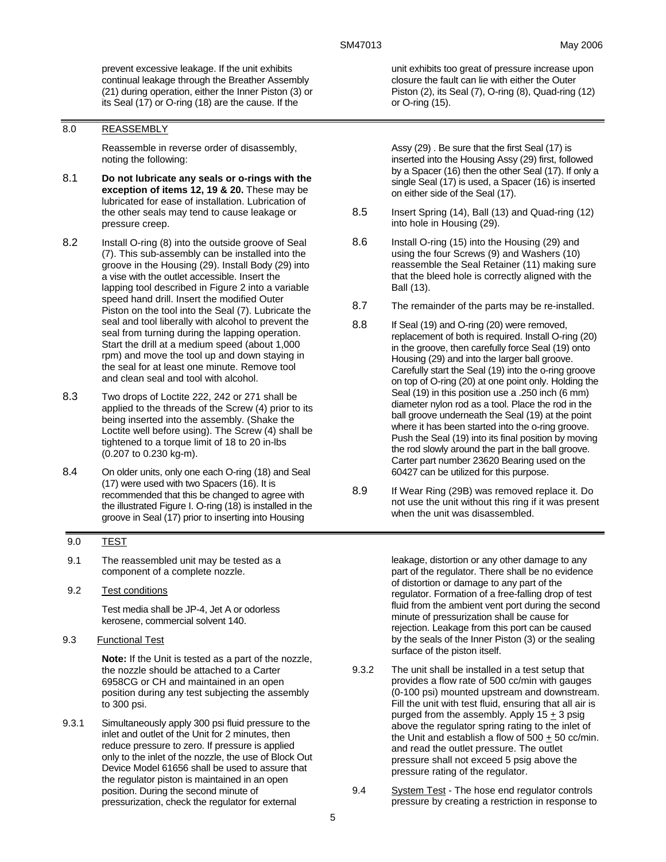prevent excessive leakage. If the unit exhibits continual leakage through the Breather Assembly (21) during operation, either the Inner Piston (3) or its Seal (17) or O-ring (18) are the cause. If the

#### 8.0 REASSEMBLY

Reassemble in reverse order of disassembly, noting the following:

- 8.1 **Do not lubricate any seals or o-rings with the exception of items 12, 19 & 20.** These may be lubricated for ease of installation. Lubrication of the other seals may tend to cause leakage or pressure creep.
- 8.2 Install O-ring (8) into the outside groove of Seal (7). This sub-assembly can be installed into the groove in the Housing (29). Install Body (29) into a vise with the outlet accessible. Insert the lapping tool described in Figure 2 into a variable speed hand drill. Insert the modified Outer Piston on the tool into the Seal (7). Lubricate the seal and tool liberally with alcohol to prevent the seal from turning during the lapping operation. Start the drill at a medium speed (about 1,000 rpm) and move the tool up and down staying in the seal for at least one minute. Remove tool and clean seal and tool with alcohol.
- 8.3 Two drops of Loctite 222, 242 or 271 shall be applied to the threads of the Screw (4) prior to its being inserted into the assembly. (Shake the Loctite well before using). The Screw (4) shall be tightened to a torque limit of 18 to 20 in-lbs (0.207 to 0.230 kg-m).
- 8.4 On older units, only one each O-ring (18) and Seal (17) were used with two Spacers (16). It is recommended that this be changed to agree with the illustrated Figure I. O-ring (18) is installed in the groove in Seal (17) prior to inserting into Housing

### 9.0 TEST

- 9.1 The reassembled unit may be tested as a component of a complete nozzle.
- 9.2 Test conditions

Test media shall be JP-4, Jet A or odorless kerosene, commercial solvent 140.

9.3 Functional Test

**Note:** If the Unit is tested as a part of the nozzle, the nozzle should be attached to a Carter 6958CG or CH and maintained in an open position during any test subjecting the assembly to 300 psi.

9.3.1 Simultaneously apply 300 psi fluid pressure to the inlet and outlet of the Unit for 2 minutes, then reduce pressure to zero. If pressure is applied only to the inlet of the nozzle, the use of Block Out Device Model 61656 shall be used to assure that the regulator piston is maintained in an open position. During the second minute of pressurization, check the regulator for external

unit exhibits too great of pressure increase upon closure the fault can lie with either the Outer Piston (2), its Seal (7), O-ring (8), Quad-ring (12) or O-ring (15).

Assy (29) . Be sure that the first Seal (17) is inserted into the Housing Assy (29) first, followed by a Spacer (16) then the other Seal (17). If only a single Seal (17) is used, a Spacer (16) is inserted on either side of the Seal (17).

- 8.5 Insert Spring (14), Ball (13) and Quad-ring (12) into hole in Housing (29).
- 8.6 Install O-ring (15) into the Housing (29) and using the four Screws (9) and Washers (10) reassemble the Seal Retainer (11) making sure that the bleed hole is correctly aligned with the Ball (13).
- 8.7 The remainder of the parts may be re-installed.
- 8.8 If Seal (19) and O-ring (20) were removed, replacement of both is required. Install O-ring (20) in the groove, then carefully force Seal (19) onto Housing (29) and into the larger ball groove. Carefully start the Seal (19) into the o-ring groove on top of O-ring (20) at one point only. Holding the Seal (19) in this position use a .250 inch (6 mm) diameter nylon rod as a tool. Place the rod in the ball groove underneath the Seal (19) at the point where it has been started into the o-ring groove. Push the Seal (19) into its final position by moving the rod slowly around the part in the ball groove. Carter part number 23620 Bearing used on the 60427 can be utilized for this purpose.
- 8.9 If Wear Ring (29B) was removed replace it. Do not use the unit without this ring if it was present when the unit was disassembled.

leakage, distortion or any other damage to any part of the regulator. There shall be no evidence of distortion or damage to any part of the regulator. Formation of a free-falling drop of test fluid from the ambient vent port during the second minute of pressurization shall be cause for rejection. Leakage from this port can be caused by the seals of the Inner Piston (3) or the sealing surface of the piston itself.

- 9.3.2 The unit shall be installed in a test setup that provides a flow rate of 500 cc/min with gauges (0-100 psi) mounted upstream and downstream. Fill the unit with test fluid, ensuring that all air is purged from the assembly. Apply  $15 + 3$  psig above the regulator spring rating to the inlet of the Unit and establish a flow of 500 + 50 cc/min. and read the outlet pressure. The outlet pressure shall not exceed 5 psig above the pressure rating of the regulator.
- 9.4 System Test The hose end regulator controls pressure by creating a restriction in response to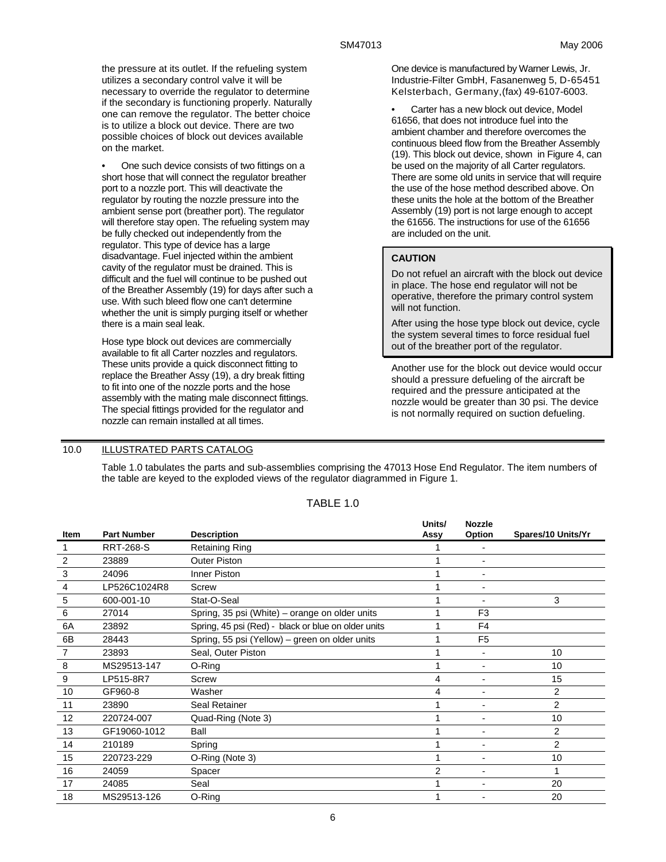the pressure at its outlet. If the refueling system utilizes a secondary control valve it will be necessary to override the regulator to determine if the secondary is functioning properly. Naturally one can remove the regulator. The better choice is to utilize a block out device. There are two possible choices of block out devices available on the market.

• One such device consists of two fittings on a short hose that will connect the regulator breather port to a nozzle port. This will deactivate the regulator by routing the nozzle pressure into the ambient sense port (breather port). The regulator will therefore stay open. The refueling system may be fully checked out independently from the regulator. This type of device has a large disadvantage. Fuel injected within the ambient cavity of the regulator must be drained. This is difficult and the fuel will continue to be pushed out of the Breather Assembly (19) for days after such a use. With such bleed flow one can't determine whether the unit is simply purging itself or whether there is a main seal leak.

Hose type block out devices are commercially available to fit all Carter nozzles and regulators. These units provide a quick disconnect fitting to replace the Breather Assy (19), a dry break fitting to fit into one of the nozzle ports and the hose assembly with the mating male disconnect fittings. The special fittings provided for the regulator and nozzle can remain installed at all times.

One device is manufactured by Warner Lewis, Jr. Industrie-Filter GmbH, Fasanenweg 5, D-65451 Kelsterbach, Germany,(fax) 49-6107-6003.

Carter has a new block out device, Model 61656, that does not introduce fuel into the ambient chamber and therefore overcomes the continuous bleed flow from the Breather Assembly (19). This block out device, shown in Figure 4, can be used on the majority of all Carter regulators. There are some old units in service that will require the use of the hose method described above. On these units the hole at the bottom of the Breather Assembly (19) port is not large enough to accept the 61656. The instructions for use of the 61656 are included on the unit.

## **CAUTION**

**Units/** 

**Nozzle** 

Do not refuel an aircraft with the block out device in place. The hose end regulator will not be operative, therefore the primary control system will not function.

After using the hose type block out device, cycle the system several times to force residual fuel out of the breather port of the regulator.

Another use for the block out device would occur should a pressure defueling of the aircraft be required and the pressure anticipated at the nozzle would be greater than 30 psi. The device is not normally required on suction defueling.

## 10.0 ILLUSTRATED PARTS CATALOG

Table 1.0 tabulates the parts and sub-assemblies comprising the 47013 Hose End Regulator. The item numbers of the table are keyed to the exploded views of the regulator diagrammed in Figure 1.

| Item | <b>Part Number</b> | <b>Description</b>                                  | UNIUS/<br>Assy | nozzie<br>Option | Spares/10 Units/Yr |
|------|--------------------|-----------------------------------------------------|----------------|------------------|--------------------|
|      | <b>RRT-268-S</b>   | <b>Retaining Ring</b>                               |                |                  |                    |
| 2    | 23889              | <b>Outer Piston</b>                                 |                |                  |                    |
| 3    | 24096              | <b>Inner Piston</b>                                 |                |                  |                    |
| 4    | LP526C1024R8       | Screw                                               |                |                  |                    |
| 5    | 600-001-10         | Stat-O-Seal                                         |                |                  | 3                  |
| 6    | 27014              | Spring, 35 psi (White) – orange on older units      |                | F <sub>3</sub>   |                    |
| 6A   | 23892              | Spring, 45 psi (Red) - black or blue on older units |                | F <sub>4</sub>   |                    |
| 6B   | 28443              | Spring, 55 psi (Yellow) - green on older units      |                | F <sub>5</sub>   |                    |
| 7    | 23893              | Seal, Outer Piston                                  |                |                  | 10                 |
| 8    | MS29513-147        | O-Ring                                              |                |                  | 10                 |
| 9    | LP515-8R7          | Screw                                               | 4              |                  | 15                 |
| 10   | GF960-8            | Washer                                              | 4              |                  | $\overline{2}$     |
| 11   | 23890              | Seal Retainer                                       |                |                  | $\overline{2}$     |
| 12   | 220724-007         | Quad-Ring (Note 3)                                  |                |                  | 10                 |
| 13   | GF19060-1012       | Ball                                                |                |                  | $\overline{2}$     |
| 14   | 210189             | Spring                                              |                |                  | $\overline{2}$     |
| 15   | 220723-229         | O-Ring (Note 3)                                     |                |                  | 10                 |
| 16   | 24059              | Spacer                                              | $\overline{2}$ | $\blacksquare$   | 1                  |
| 17   | 24085              | Seal                                                |                |                  | 20                 |
| 18   | MS29513-126        | O-Ring                                              |                |                  | 20                 |

## TABLE 1.0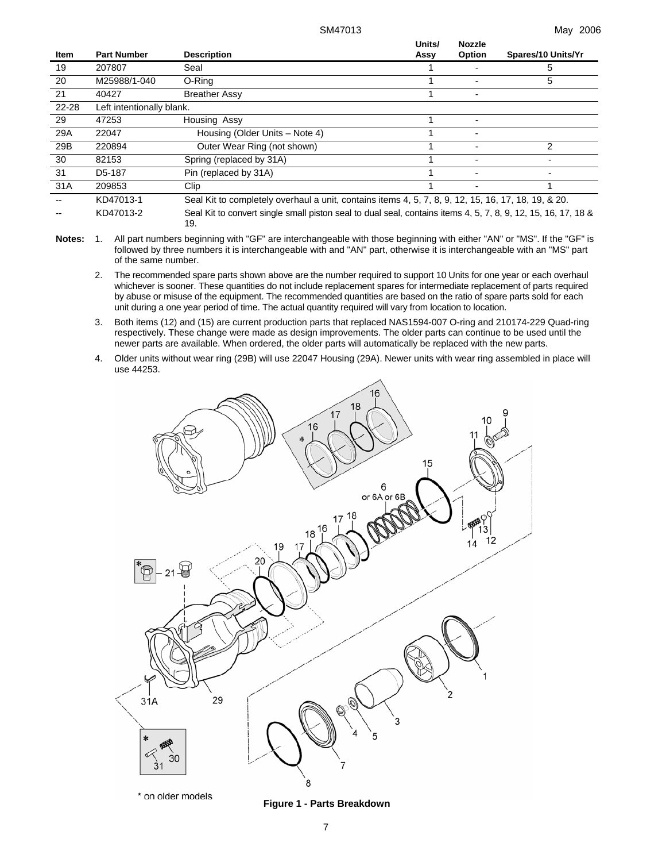| <b>Item</b> | <b>Part Number</b>        | <b>Description</b>                                                                                            | Units/<br>Assy | <b>Nozzle</b><br>Option | Spares/10 Units/Yr |
|-------------|---------------------------|---------------------------------------------------------------------------------------------------------------|----------------|-------------------------|--------------------|
| 19          | 207807                    | Seal                                                                                                          |                |                         | 5                  |
| 20          | M25988/1-040              | O-Ring                                                                                                        |                |                         | 5                  |
| 21          | 40427                     | <b>Breather Assy</b>                                                                                          |                |                         |                    |
| 22-28       | Left intentionally blank. |                                                                                                               |                |                         |                    |
| 29          | 47253                     | Housing Assy                                                                                                  |                |                         |                    |
| 29A         | 22047                     | Housing (Older Units – Note 4)                                                                                |                |                         |                    |
| 29B         | 220894                    | Outer Wear Ring (not shown)                                                                                   |                |                         | 2                  |
| 30          | 82153                     | Spring (replaced by 31A)                                                                                      |                |                         |                    |
| 31          | D <sub>5</sub> -187       | Pin (replaced by 31A)                                                                                         |                |                         |                    |
| 31A         | 209853                    | Clip                                                                                                          |                |                         |                    |
|             | KD47013-1                 | Seal Kit to completely overhaul a unit, contains items 4, 5, 7, 8, 9, 12, 15, 16, 17, 18, 19, & 20.           |                |                         |                    |
|             | KD47013-2                 | Seal Kit to convert single small piston seal to dual seal, contains items 4, 5, 7, 8, 9, 12, 15, 16, 17, 18 & |                |                         |                    |

19.

- **Notes:** 1. All part numbers beginning with "GF" are interchangeable with those beginning with either "AN" or "MS". If the "GF" is followed by three numbers it is interchangeable with and "AN" part, otherwise it is interchangeable with an "MS" part of the same number.
	- 2. The recommended spare parts shown above are the number required to support 10 Units for one year or each overhaul whichever is sooner. These quantities do not include replacement spares for intermediate replacement of parts required by abuse or misuse of the equipment. The recommended quantities are based on the ratio of spare parts sold for each unit during a one year period of time. The actual quantity required will vary from location to location.
	- 3. Both items (12) and (15) are current production parts that replaced NAS1594-007 O-ring and 210174-229 Quad-ring respectively. These change were made as design improvements. The older parts can continue to be used until the newer parts are available. When ordered, the older parts will automatically be replaced with the new parts.
	- 4. Older units without wear ring (29B) will use 22047 Housing (29A). Newer units with wear ring assembled in place will use 44253.



#### 7